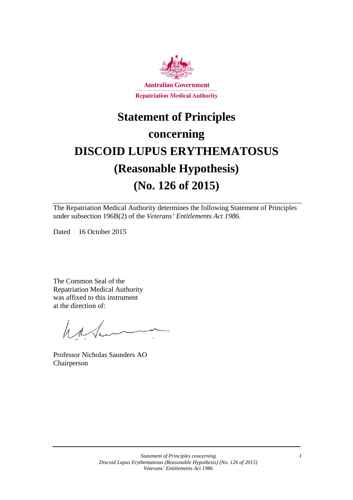

# **Statement of Principles concerning DISCOID LUPUS ERYTHEMATOSUS**

# **(Reasonable Hypothesis) (No. 126 of 2015)**

The Repatriation Medical Authority determines the following Statement of Principles under subsection 196B(2) of the *Veterans' Entitlements Act 1986*.

Dated 16 October 2015

The Common Seal of the Repatriation Medical Authority was affixed to this instrument at the direction of:

have

Professor Nicholas Saunders AO Chairperson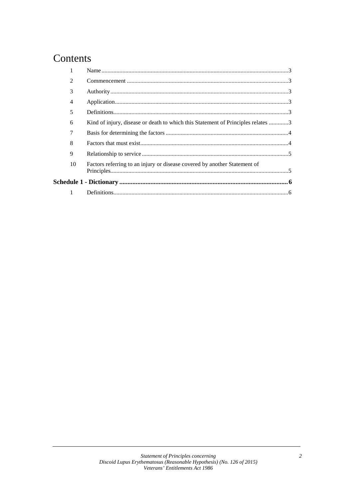### Contents

|             | 2  |                                                                                  |  |
|-------------|----|----------------------------------------------------------------------------------|--|
|             | 3  |                                                                                  |  |
|             | 4  |                                                                                  |  |
|             | 5  |                                                                                  |  |
|             | 6  | Kind of injury, disease or death to which this Statement of Principles relates 3 |  |
|             | 7  |                                                                                  |  |
|             | 8  |                                                                                  |  |
|             | 9  |                                                                                  |  |
|             | 10 | Factors referring to an injury or disease covered by another Statement of        |  |
|             |    |                                                                                  |  |
| $\sim$ $-1$ |    |                                                                                  |  |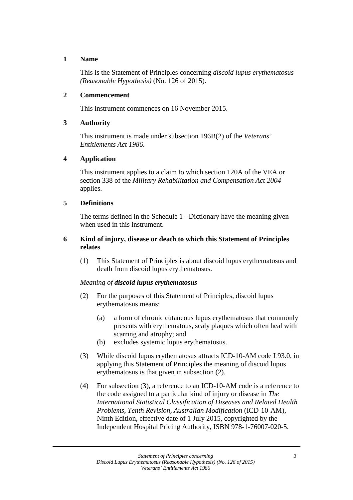#### **1 Name**

This is the Statement of Principles concerning *discoid lupus erythematosus (Reasonable Hypothesis)* (No. 126 of 2015).

#### **2 Commencement**

This instrument commences on 16 November 2015.

#### **3 Authority**

This instrument is made under subsection 196B(2) of the *Veterans' Entitlements Act 1986*.

#### **4 Application**

This instrument applies to a claim to which section 120A of the VEA or section 338 of the *Military Rehabilitation and Compensation Act 2004* applies.

#### **5 Definitions**

The terms defined in the Schedule 1 - Dictionary have the meaning given when used in this instrument.

#### **6 Kind of injury, disease or death to which this Statement of Principles relates**

(1) This Statement of Principles is about discoid lupus erythematosus and death from discoid lupus erythematosus.

#### *Meaning of discoid lupus erythematosus*

- (2) For the purposes of this Statement of Principles, discoid lupus erythematosus means:
	- (a) a form of chronic cutaneous lupus erythematosus that commonly presents with erythematous, scaly plaques which often heal with scarring and atrophy; and
	- (b) excludes systemic lupus erythematosus.
- (3) While discoid lupus erythematosus attracts ICD-10-AM code L93.0, in applying this Statement of Principles the meaning of discoid lupus erythematosus is that given in subsection (2).
- (4) For subsection (3), a reference to an ICD-10-AM code is a reference to the code assigned to a particular kind of injury or disease in *The International Statistical Classification of Diseases and Related Health Problems*, *Tenth Revision, Australian Modification* (ICD-10-AM), Ninth Edition, effective date of 1 July 2015, copyrighted by the Independent Hospital Pricing Authority, ISBN 978-1-76007-020-5.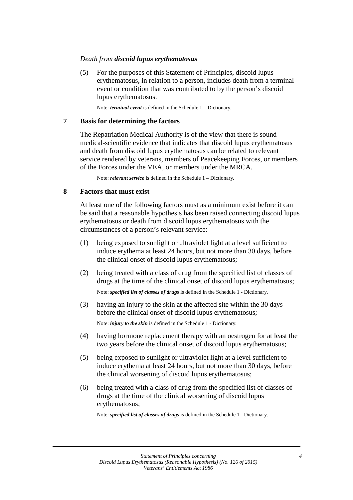#### *Death from discoid lupus erythematosus*

(5) For the purposes of this Statement of Principles, discoid lupus erythematosus, in relation to a person, includes death from a terminal event or condition that was contributed to by the person's discoid lupus erythematosus.

Note: *terminal event* is defined in the Schedule 1 – Dictionary.

#### **7 Basis for determining the factors**

The Repatriation Medical Authority is of the view that there is sound medical-scientific evidence that indicates that discoid lupus erythematosus and death from discoid lupus erythematosus can be related to relevant service rendered by veterans, members of Peacekeeping Forces, or members of the Forces under the VEA, or members under the MRCA.

Note: *relevant service* is defined in the Schedule 1 – Dictionary.

#### **8 Factors that must exist**

At least one of the following factors must as a minimum exist before it can be said that a reasonable hypothesis has been raised connecting discoid lupus erythematosus or death from discoid lupus erythematosus with the circumstances of a person's relevant service:

- (1) being exposed to sunlight or ultraviolet light at a level sufficient to induce erythema at least 24 hours, but not more than 30 days, before the clinical onset of discoid lupus erythematosus;
- (2) being treated with a class of drug from the specified list of classes of drugs at the time of the clinical onset of discoid lupus erythematosus;

Note: *specified list of classes of drugs* is defined in the Schedule 1 - Dictionary.

(3) having an injury to the skin at the affected site within the 30 days before the clinical onset of discoid lupus erythematosus;

Note: *injury to the skin* is defined in the Schedule 1 - Dictionary.

- (4) having hormone replacement therapy with an oestrogen for at least the two years before the clinical onset of discoid lupus erythematosus;
- (5) being exposed to sunlight or ultraviolet light at a level sufficient to induce erythema at least 24 hours, but not more than 30 days, before the clinical worsening of discoid lupus erythematosus;
- (6) being treated with a class of drug from the specified list of classes of drugs at the time of the clinical worsening of discoid lupus erythematosus;

Note: *specified list of classes of drugs* is defined in the Schedule 1 - Dictionary.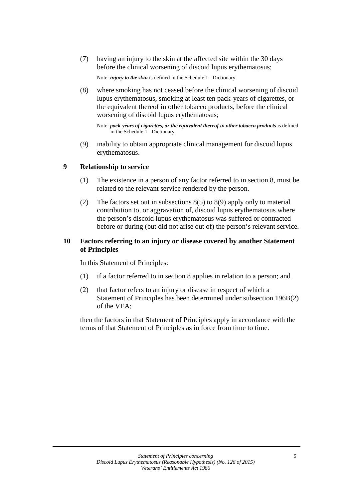(7) having an injury to the skin at the affected site within the 30 days before the clinical worsening of discoid lupus erythematosus;

Note: *injury to the skin* is defined in the Schedule 1 - Dictionary.

(8) where smoking has not ceased before the clinical worsening of discoid lupus erythematosus, smoking at least ten pack-years of cigarettes, or the equivalent thereof in other tobacco products, before the clinical worsening of discoid lupus erythematosus;

```
Note: pack-years of cigarettes, or the equivalent thereof in other tobacco products is defined
in the Schedule 1 - Dictionary.
```
(9) inability to obtain appropriate clinical management for discoid lupus erythematosus.

#### **9 Relationship to service**

- (1) The existence in a person of any factor referred to in section 8, must be related to the relevant service rendered by the person.
- (2) The factors set out in subsections 8(5) to 8(9) apply only to material contribution to, or aggravation of, discoid lupus erythematosus where the person's discoid lupus erythematosus was suffered or contracted before or during (but did not arise out of) the person's relevant service.

#### **10 Factors referring to an injury or disease covered by another Statement of Principles**

In this Statement of Principles:

- (1) if a factor referred to in section 8 applies in relation to a person; and
- (2) that factor refers to an injury or disease in respect of which a Statement of Principles has been determined under subsection 196B(2) of the VEA;

then the factors in that Statement of Principles apply in accordance with the terms of that Statement of Principles as in force from time to time.